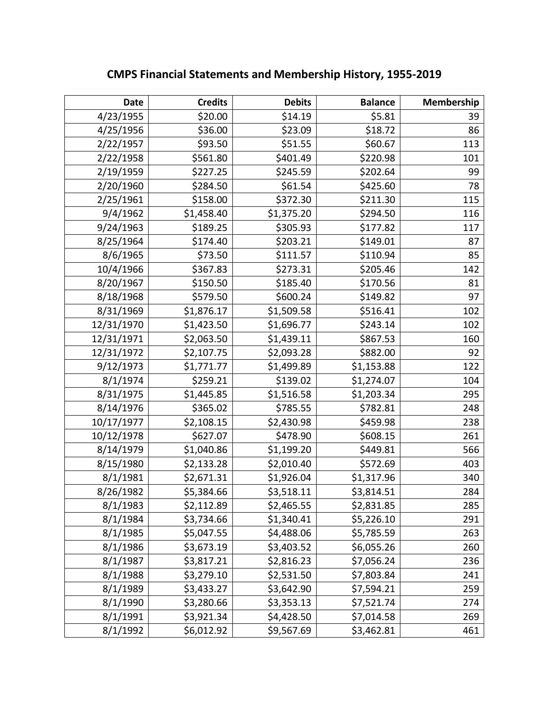| Date       | <b>Credits</b> | <b>Debits</b> | <b>Balance</b> | Membership |
|------------|----------------|---------------|----------------|------------|
| 4/23/1955  | \$20.00        | \$14.19       | \$5.81         | 39         |
| 4/25/1956  | \$36.00        | \$23.09       | \$18.72        | 86         |
| 2/22/1957  | \$93.50        | \$51.55       | \$60.67        | 113        |
| 2/22/1958  | \$561.80       | \$401.49      | \$220.98       | 101        |
| 2/19/1959  | \$227.25       | \$245.59      | \$202.64       | 99         |
| 2/20/1960  | \$284.50       | \$61.54       | \$425.60       | 78         |
| 2/25/1961  | \$158.00       | \$372.30      | \$211.30       | 115        |
| 9/4/1962   | \$1,458.40     | \$1,375.20    | \$294.50       | 116        |
| 9/24/1963  | \$189.25       | \$305.93      | \$177.82       | 117        |
| 8/25/1964  | \$174.40       | \$203.21      | \$149.01       | 87         |
| 8/6/1965   | \$73.50        | \$111.57      | \$110.94       | 85         |
| 10/4/1966  | \$367.83       | \$273.31      | \$205.46       | 142        |
| 8/20/1967  | \$150.50       | \$185.40      | \$170.56       | 81         |
| 8/18/1968  | \$579.50       | \$600.24      | \$149.82       | 97         |
| 8/31/1969  | \$1,876.17     | \$1,509.58    | \$516.41       | 102        |
| 12/31/1970 | \$1,423.50     | \$1,696.77    | \$243.14       | 102        |
| 12/31/1971 | \$2,063.50     | \$1,439.11    | \$867.53       | 160        |
| 12/31/1972 | \$2,107.75     | \$2,093.28    | \$882.00       | 92         |
| 9/12/1973  | \$1,771.77     | \$1,499.89    | \$1,153.88     | 122        |
| 8/1/1974   | \$259.21       | \$139.02      | \$1,274.07     | 104        |
| 8/31/1975  | \$1,445.85     | \$1,516.58    | \$1,203.34     | 295        |
| 8/14/1976  | \$365.02       | \$785.55      | \$782.81       | 248        |
| 10/17/1977 | \$2,108.15     | \$2,430.98    | \$459.98       | 238        |
| 10/12/1978 | \$627.07       | \$478.90      | \$608.15       | 261        |
| 8/14/1979  | \$1,040.86     | \$1,199.20    | \$449.81       | 566        |
| 8/15/1980  | \$2,133.28     | \$2,010.40    | \$572.69       | 403        |
| 8/1/1981   | \$2,671.31     | \$1,926.04    | \$1,317.96     | 340        |
| 8/26/1982  | \$5,384.66     | \$3,518.11    | \$3,814.51     | 284        |
| 8/1/1983   | \$2,112.89     | \$2,465.55    | \$2,831.85     | 285        |
| 8/1/1984   | \$3,734.66     | \$1,340.41    | \$5,226.10     | 291        |
| 8/1/1985   | \$5,047.55     | \$4,488.06    | \$5,785.59     | 263        |
| 8/1/1986   | \$3,673.19     | \$3,403.52    | \$6,055.26     | 260        |
| 8/1/1987   | \$3,817.21     | \$2,816.23    | \$7,056.24     | 236        |
| 8/1/1988   | \$3,279.10     | \$2,531.50    | \$7,803.84     | 241        |
| 8/1/1989   | \$3,433.27     | \$3,642.90    | \$7,594.21     | 259        |
| 8/1/1990   | \$3,280.66     | \$3,353.13    | \$7,521.74     | 274        |
| 8/1/1991   | \$3,921.34     | \$4,428.50    | \$7,014.58     | 269        |
| 8/1/1992   | \$6,012.92     | \$9,567.69    | \$3,462.81     | 461        |

**CMPS Financial Statements and Membership History, 1955-2019**